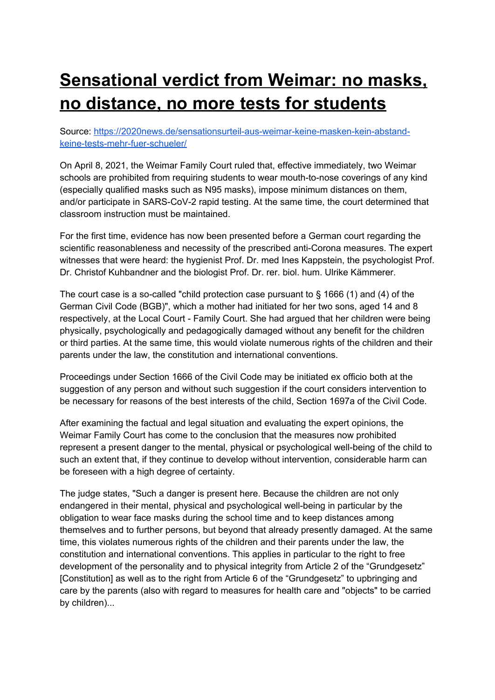# **Sensational verdict from Weimar: no masks, no distance, no more tests for students**

Source: https://2020news.de/sensationsurteil-aus-weimar-keine-masken-kein-abstandkeine-tests-mehr-fuer-schueler/

On April 8, 2021, the Weimar Family Court ruled that, effective immediately, two Weimar schools are prohibited from requiring students to wear mouth-to-nose coverings of any kind (especially qualified masks such as N95 masks), impose minimum distances on them, and/or participate in SARS-CoV-2 rapid testing. At the same time, the court determined that classroom instruction must be maintained.

For the first time, evidence has now been presented before a German court regarding the scientific reasonableness and necessity of the prescribed anti-Corona measures. The expert witnesses that were heard: the hygienist Prof. Dr. med Ines Kappstein, the psychologist Prof. Dr. Christof Kuhbandner and the biologist Prof. Dr. rer. biol. hum. Ulrike Kämmerer.

The court case is a so-called "child protection case pursuant to § 1666 (1) and (4) of the German Civil Code (BGB)", which a mother had initiated for her two sons, aged 14 and 8 respectively, at the Local Court - Family Court. She had argued that her children were being physically, psychologically and pedagogically damaged without any benefit for the children or third parties. At the same time, this would violate numerous rights of the children and their parents under the law, the constitution and international conventions.

Proceedings under Section 1666 of the Civil Code may be initiated ex officio both at the suggestion of any person and without such suggestion if the court considers intervention to be necessary for reasons of the best interests of the child, Section 1697a of the Civil Code.

After examining the factual and legal situation and evaluating the expert opinions, the Weimar Family Court has come to the conclusion that the measures now prohibited represent a present danger to the mental, physical or psychological well-being of the child to such an extent that, if they continue to develop without intervention, considerable harm can be foreseen with a high degree of certainty.

The judge states, "Such a danger is present here. Because the children are not only endangered in their mental, physical and psychological well-being in particular by the obligation to wear face masks during the school time and to keep distances among themselves and to further persons, but beyond that already presently damaged. At the same time, this violates numerous rights of the children and their parents under the law, the constitution and international conventions. This applies in particular to the right to free development of the personality and to physical integrity from Article 2 of the "Grundgesetz" [Constitution] as well as to the right from Article 6 of the "Grundgesetz" to upbringing and care by the parents (also with regard to measures for health care and "objects" to be carried by children)...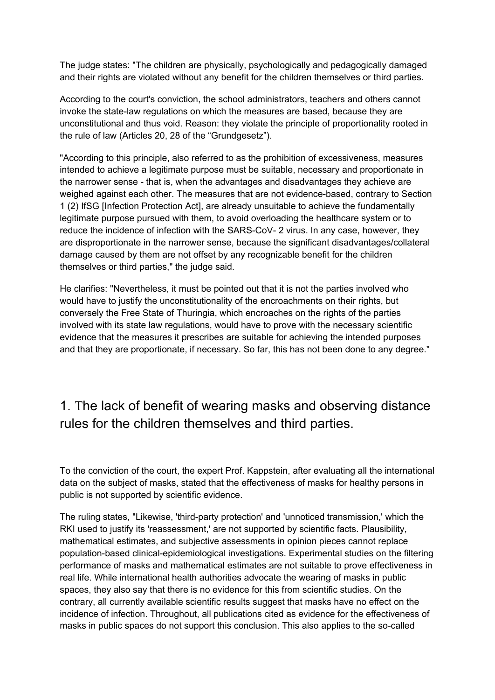The judge states: "The children are physically, psychologically and pedagogically damaged and their rights are violated without any benefit for the children themselves or third parties.

According to the court's conviction, the school administrators, teachers and others cannot invoke the state-law regulations on which the measures are based, because they are unconstitutional and thus void. Reason: they violate the principle of proportionality rooted in the rule of law (Articles 20, 28 of the "Grundgesetz").

"According to this principle, also referred to as the prohibition of excessiveness, measures intended to achieve a legitimate purpose must be suitable, necessary and proportionate in the narrower sense - that is, when the advantages and disadvantages they achieve are weighed against each other. The measures that are not evidence-based, contrary to Section 1 (2) IfSG [Infection Protection Act], are already unsuitable to achieve the fundamentally legitimate purpose pursued with them, to avoid overloading the healthcare system or to reduce the incidence of infection with the SARS-CoV- 2 virus. In any case, however, they are disproportionate in the narrower sense, because the significant disadvantages/collateral damage caused by them are not offset by any recognizable benefit for the children themselves or third parties," the judge said.

He clarifies: "Nevertheless, it must be pointed out that it is not the parties involved who would have to justify the unconstitutionality of the encroachments on their rights, but conversely the Free State of Thuringia, which encroaches on the rights of the parties involved with its state law regulations, would have to prove with the necessary scientific evidence that the measures it prescribes are suitable for achieving the intended purposes and that they are proportionate, if necessary. So far, this has not been done to any degree."

### 1. The lack of benefit of wearing masks and observing distance rules for the children themselves and third parties.

To the conviction of the court, the expert Prof. Kappstein, after evaluating all the international data on the subject of masks, stated that the effectiveness of masks for healthy persons in public is not supported by scientific evidence.

The ruling states, "Likewise, 'third-party protection' and 'unnoticed transmission,' which the RKI used to justify its 'reassessment,' are not supported by scientific facts. Plausibility, mathematical estimates, and subjective assessments in opinion pieces cannot replace population-based clinical-epidemiological investigations. Experimental studies on the filtering performance of masks and mathematical estimates are not suitable to prove effectiveness in real life. While international health authorities advocate the wearing of masks in public spaces, they also say that there is no evidence for this from scientific studies. On the contrary, all currently available scientific results suggest that masks have no effect on the incidence of infection. Throughout, all publications cited as evidence for the effectiveness of masks in public spaces do not support this conclusion. This also applies to the so-called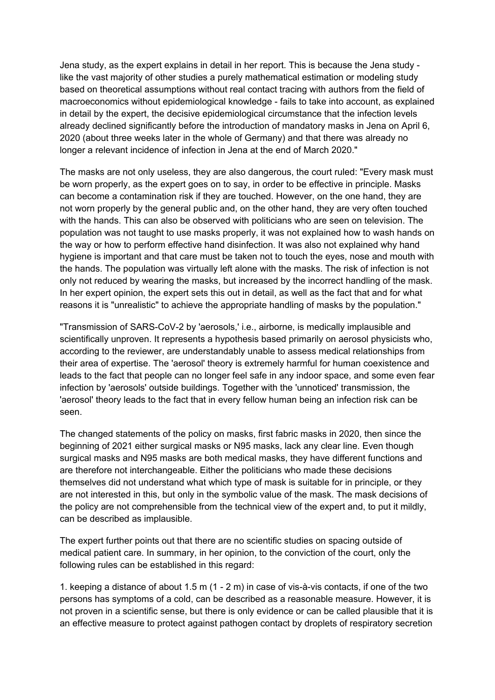Jena study, as the expert explains in detail in her report. This is because the Jena study like the vast majority of other studies a purely mathematical estimation or modeling study based on theoretical assumptions without real contact tracing with authors from the field of macroeconomics without epidemiological knowledge - fails to take into account, as explained in detail by the expert, the decisive epidemiological circumstance that the infection levels already declined significantly before the introduction of mandatory masks in Jena on April 6, 2020 (about three weeks later in the whole of Germany) and that there was already no longer a relevant incidence of infection in Jena at the end of March 2020."

The masks are not only useless, they are also dangerous, the court ruled: "Every mask must be worn properly, as the expert goes on to say, in order to be effective in principle. Masks can become a contamination risk if they are touched. However, on the one hand, they are not worn properly by the general public and, on the other hand, they are very often touched with the hands. This can also be observed with politicians who are seen on television. The population was not taught to use masks properly, it was not explained how to wash hands on the way or how to perform effective hand disinfection. It was also not explained why hand hygiene is important and that care must be taken not to touch the eyes, nose and mouth with the hands. The population was virtually left alone with the masks. The risk of infection is not only not reduced by wearing the masks, but increased by the incorrect handling of the mask. In her expert opinion, the expert sets this out in detail, as well as the fact that and for what reasons it is "unrealistic" to achieve the appropriate handling of masks by the population."

"Transmission of SARS-CoV-2 by 'aerosols,' i.e., airborne, is medically implausible and scientifically unproven. It represents a hypothesis based primarily on aerosol physicists who, according to the reviewer, are understandably unable to assess medical relationships from their area of expertise. The 'aerosol' theory is extremely harmful for human coexistence and leads to the fact that people can no longer feel safe in any indoor space, and some even fear infection by 'aerosols' outside buildings. Together with the 'unnoticed' transmission, the 'aerosol' theory leads to the fact that in every fellow human being an infection risk can be seen.

The changed statements of the policy on masks, first fabric masks in 2020, then since the beginning of 2021 either surgical masks or N95 masks, lack any clear line. Even though surgical masks and N95 masks are both medical masks, they have different functions and are therefore not interchangeable. Either the politicians who made these decisions themselves did not understand what which type of mask is suitable for in principle, or they are not interested in this, but only in the symbolic value of the mask. The mask decisions of the policy are not comprehensible from the technical view of the expert and, to put it mildly, can be described as implausible.

The expert further points out that there are no scientific studies on spacing outside of medical patient care. In summary, in her opinion, to the conviction of the court, only the following rules can be established in this regard:

1. keeping a distance of about 1.5 m (1 - 2 m) in case of vis-à-vis contacts, if one of the two persons has symptoms of a cold, can be described as a reasonable measure. However, it is not proven in a scientific sense, but there is only evidence or can be called plausible that it is an effective measure to protect against pathogen contact by droplets of respiratory secretion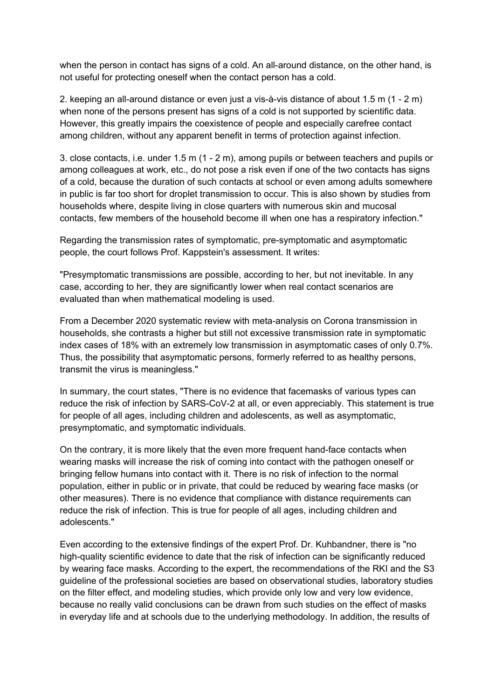when the person in contact has signs of a cold. An all-around distance, on the other hand, is not useful for protecting oneself when the contact person has a cold.

2. keeping an all-around distance or even just a vis-à-vis distance of about 1.5 m (1 - 2 m) when none of the persons present has signs of a cold is not supported by scientific data. However, this greatly impairs the coexistence of people and especially carefree contact among children, without any apparent benefit in terms of protection against infection.

3. close contacts, i.e. under 1.5 m (1 - 2 m), among pupils or between teachers and pupils or among colleagues at work, etc., do not pose a risk even if one of the two contacts has signs of a cold, because the duration of such contacts at school or even among adults somewhere in public is far too short for droplet transmission to occur. This is also shown by studies from households where, despite living in close quarters with numerous skin and mucosal contacts, few members of the household become ill when one has a respiratory infection."

Regarding the transmission rates of symptomatic, pre-symptomatic and asymptomatic people, the court follows Prof. Kappstein's assessment. It writes:

"Presymptomatic transmissions are possible, according to her, but not inevitable. In any case, according to her, they are significantly lower when real contact scenarios are evaluated than when mathematical modeling is used.

From a December 2020 systematic review with meta-analysis on Corona transmission in households, she contrasts a higher but still not excessive transmission rate in symptomatic index cases of 18% with an extremely low transmission in asymptomatic cases of only 0.7%. Thus, the possibility that asymptomatic persons, formerly referred to as healthy persons, transmit the virus is meaningless."

In summary, the court states, "There is no evidence that facemasks of various types can reduce the risk of infection by SARS-CoV-2 at all, or even appreciably. This statement is true for people of all ages, including children and adolescents, as well as asymptomatic, presymptomatic, and symptomatic individuals.

On the contrary, it is more likely that the even more frequent hand-face contacts when wearing masks will increase the risk of coming into contact with the pathogen oneself or bringing fellow humans into contact with it. There is no risk of infection to the normal population, either in public or in private, that could be reduced by wearing face masks (or other measures). There is no evidence that compliance with distance requirements can reduce the risk of infection. This is true for people of all ages, including children and adolescents."

Even according to the extensive findings of the expert Prof. Dr. Kuhbandner, there is "no high-quality scientific evidence to date that the risk of infection can be significantly reduced by wearing face masks. According to the expert, the recommendations of the RKI and the S3 guideline of the professional societies are based on observational studies, laboratory studies on the filter effect, and modeling studies, which provide only low and very low evidence, because no really valid conclusions can be drawn from such studies on the effect of masks in everyday life and at schools due to the underlying methodology. In addition, the results of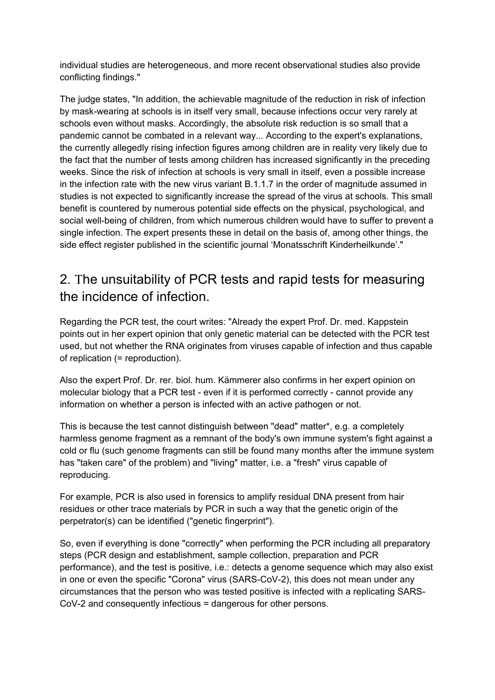individual studies are heterogeneous, and more recent observational studies also provide conflicting findings."

The judge states, "In addition, the achievable magnitude of the reduction in risk of infection by mask-wearing at schools is in itself very small, because infections occur very rarely at schools even without masks. Accordingly, the absolute risk reduction is so small that a pandemic cannot be combated in a relevant way... According to the expert's explanations, the currently allegedly rising infection figures among children are in reality very likely due to the fact that the number of tests among children has increased significantly in the preceding weeks. Since the risk of infection at schools is very small in itself, even a possible increase in the infection rate with the new virus variant B.1.1.7 in the order of magnitude assumed in studies is not expected to significantly increase the spread of the virus at schools. This small benefit is countered by numerous potential side effects on the physical, psychological, and social well-being of children, from which numerous children would have to suffer to prevent a single infection. The expert presents these in detail on the basis of, among other things, the side effect register published in the scientific journal 'Monatsschrift Kinderheilkunde'."

## 2. The unsuitability of PCR tests and rapid tests for measuring the incidence of infection.

Regarding the PCR test, the court writes: "Already the expert Prof. Dr. med. Kappstein points out in her expert opinion that only genetic material can be detected with the PCR test used, but not whether the RNA originates from viruses capable of infection and thus capable of replication (= reproduction).

Also the expert Prof. Dr. rer. biol. hum. Kämmerer also confirms in her expert opinion on molecular biology that a PCR test - even if it is performed correctly - cannot provide any information on whether a person is infected with an active pathogen or not.

This is because the test cannot distinguish between "dead" matter\*, e.g. a completely harmless genome fragment as a remnant of the body's own immune system's fight against a cold or flu (such genome fragments can still be found many months after the immune system has "taken care" of the problem) and "living" matter, i.e. a "fresh" virus capable of reproducing.

For example, PCR is also used in forensics to amplify residual DNA present from hair residues or other trace materials by PCR in such a way that the genetic origin of the perpetrator(s) can be identified ("genetic fingerprint").

So, even if everything is done "correctly" when performing the PCR including all preparatory steps (PCR design and establishment, sample collection, preparation and PCR performance), and the test is positive, i.e.: detects a genome sequence which may also exist in one or even the specific "Corona" virus (SARS-CoV-2), this does not mean under any circumstances that the person who was tested positive is infected with a replicating SARS-CoV-2 and consequently infectious = dangerous for other persons.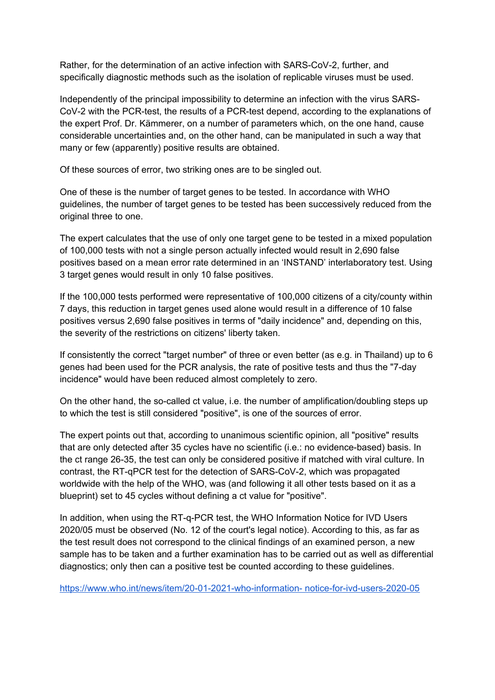Rather, for the determination of an active infection with SARS-CoV-2, further, and specifically diagnostic methods such as the isolation of replicable viruses must be used.

Independently of the principal impossibility to determine an infection with the virus SARS-CoV-2 with the PCR-test, the results of a PCR-test depend, according to the explanations of the expert Prof. Dr. Kämmerer, on a number of parameters which, on the one hand, cause considerable uncertainties and, on the other hand, can be manipulated in such a way that many or few (apparently) positive results are obtained.

Of these sources of error, two striking ones are to be singled out.

One of these is the number of target genes to be tested. In accordance with WHO guidelines, the number of target genes to be tested has been successively reduced from the original three to one.

The expert calculates that the use of only one target gene to be tested in a mixed population of 100,000 tests with not a single person actually infected would result in 2,690 false positives based on a mean error rate determined in an 'INSTAND' interlaboratory test. Using 3 target genes would result in only 10 false positives.

If the 100,000 tests performed were representative of 100,000 citizens of a city/county within 7 days, this reduction in target genes used alone would result in a difference of 10 false positives versus 2,690 false positives in terms of "daily incidence" and, depending on this, the severity of the restrictions on citizens' liberty taken.

If consistently the correct "target number" of three or even better (as e.g. in Thailand) up to 6 genes had been used for the PCR analysis, the rate of positive tests and thus the "7-day incidence" would have been reduced almost completely to zero.

On the other hand, the so-called ct value, i.e. the number of amplification/doubling steps up to which the test is still considered "positive", is one of the sources of error.

The expert points out that, according to unanimous scientific opinion, all "positive" results that are only detected after 35 cycles have no scientific (i.e.: no evidence-based) basis. In the ct range 26-35, the test can only be considered positive if matched with viral culture. In contrast, the RT-qPCR test for the detection of SARS-CoV-2, which was propagated worldwide with the help of the WHO, was (and following it all other tests based on it as a blueprint) set to 45 cycles without defining a ct value for "positive".

In addition, when using the RT-q-PCR test, the WHO Information Notice for IVD Users 2020/05 must be observed (No. 12 of the court's legal notice). According to this, as far as the test result does not correspond to the clinical findings of an examined person, a new sample has to be taken and a further examination has to be carried out as well as differential diagnostics; only then can a positive test be counted according to these guidelines.

https://www.who.int/news/item/20-01-2021-who-information- notice-for-ivd-users-2020-05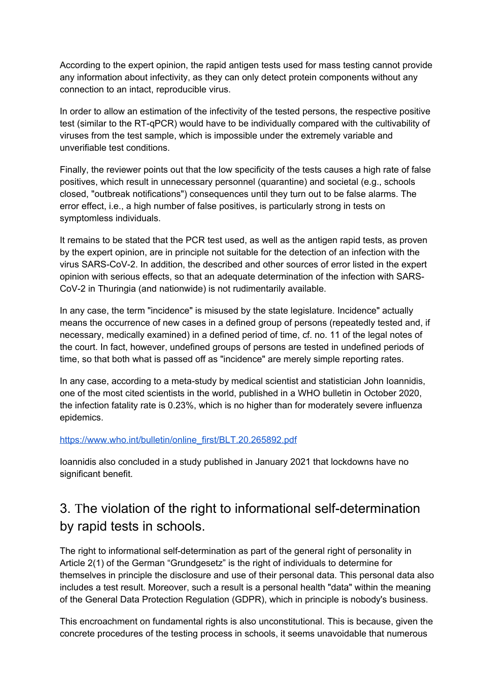According to the expert opinion, the rapid antigen tests used for mass testing cannot provide any information about infectivity, as they can only detect protein components without any connection to an intact, reproducible virus.

In order to allow an estimation of the infectivity of the tested persons, the respective positive test (similar to the RT-qPCR) would have to be individually compared with the cultivability of viruses from the test sample, which is impossible under the extremely variable and unverifiable test conditions.

Finally, the reviewer points out that the low specificity of the tests causes a high rate of false positives, which result in unnecessary personnel (quarantine) and societal (e.g., schools closed, "outbreak notifications") consequences until they turn out to be false alarms. The error effect, i.e., a high number of false positives, is particularly strong in tests on symptomless individuals.

It remains to be stated that the PCR test used, as well as the antigen rapid tests, as proven by the expert opinion, are in principle not suitable for the detection of an infection with the virus SARS-CoV-2. In addition, the described and other sources of error listed in the expert opinion with serious effects, so that an adequate determination of the infection with SARS-CoV-2 in Thuringia (and nationwide) is not rudimentarily available.

In any case, the term "incidence" is misused by the state legislature. Incidence" actually means the occurrence of new cases in a defined group of persons (repeatedly tested and, if necessary, medically examined) in a defined period of time, cf. no. 11 of the legal notes of the court. In fact, however, undefined groups of persons are tested in undefined periods of time, so that both what is passed off as "incidence" are merely simple reporting rates.

In any case, according to a meta-study by medical scientist and statistician John Ioannidis, one of the most cited scientists in the world, published in a WHO bulletin in October 2020, the infection fatality rate is 0.23%, which is no higher than for moderately severe influenza epidemics.

#### https://www.who.int/bulletin/online\_first/BLT.20.265892.pdf

Ioannidis also concluded in a study published in January 2021 that lockdowns have no significant benefit.

### 3. The violation of the right to informational self-determination by rapid tests in schools.

The right to informational self-determination as part of the general right of personality in Article 2(1) of the German "Grundgesetz" is the right of individuals to determine for themselves in principle the disclosure and use of their personal data. This personal data also includes a test result. Moreover, such a result is a personal health "data" within the meaning of the General Data Protection Regulation (GDPR), which in principle is nobody's business.

This encroachment on fundamental rights is also unconstitutional. This is because, given the concrete procedures of the testing process in schools, it seems unavoidable that numerous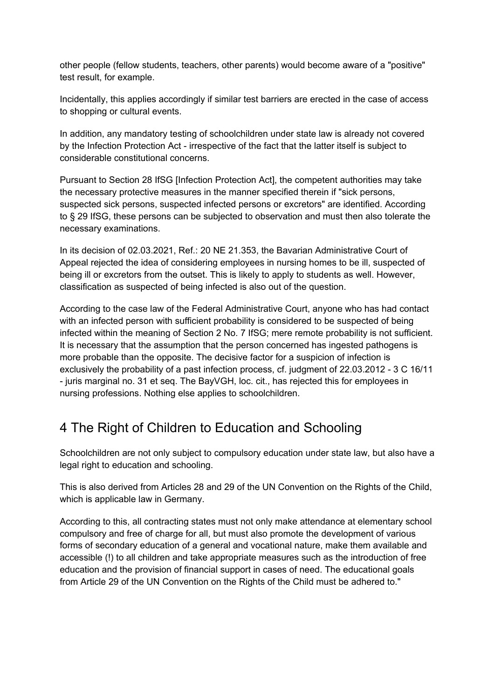other people (fellow students, teachers, other parents) would become aware of a "positive" test result, for example.

Incidentally, this applies accordingly if similar test barriers are erected in the case of access to shopping or cultural events.

In addition, any mandatory testing of schoolchildren under state law is already not covered by the Infection Protection Act - irrespective of the fact that the latter itself is subject to considerable constitutional concerns.

Pursuant to Section 28 IfSG [Infection Protection Act], the competent authorities may take the necessary protective measures in the manner specified therein if "sick persons, suspected sick persons, suspected infected persons or excretors" are identified. According to § 29 IfSG, these persons can be subjected to observation and must then also tolerate the necessary examinations.

In its decision of 02.03.2021, Ref.: 20 NE 21.353, the Bavarian Administrative Court of Appeal rejected the idea of considering employees in nursing homes to be ill, suspected of being ill or excretors from the outset. This is likely to apply to students as well. However, classification as suspected of being infected is also out of the question.

According to the case law of the Federal Administrative Court, anyone who has had contact with an infected person with sufficient probability is considered to be suspected of being infected within the meaning of Section 2 No. 7 IfSG; mere remote probability is not sufficient. It is necessary that the assumption that the person concerned has ingested pathogens is more probable than the opposite. The decisive factor for a suspicion of infection is exclusively the probability of a past infection process, cf. judgment of 22.03.2012 - 3 C 16/11 - juris marginal no. 31 et seq. The BayVGH, loc. cit., has rejected this for employees in nursing professions. Nothing else applies to schoolchildren.

# 4 The Right of Children to Education and Schooling

Schoolchildren are not only subject to compulsory education under state law, but also have a legal right to education and schooling.

This is also derived from Articles 28 and 29 of the UN Convention on the Rights of the Child, which is applicable law in Germany.

According to this, all contracting states must not only make attendance at elementary school compulsory and free of charge for all, but must also promote the development of various forms of secondary education of a general and vocational nature, make them available and accessible (!) to all children and take appropriate measures such as the introduction of free education and the provision of financial support in cases of need. The educational goals from Article 29 of the UN Convention on the Rights of the Child must be adhered to."